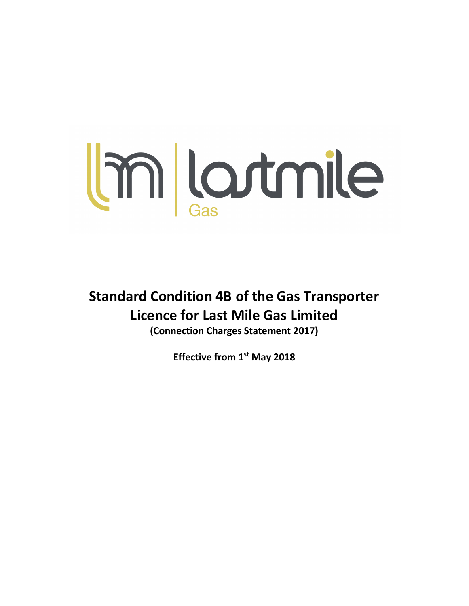

Standard Condition 4B of the Gas Transporter Licence for Last Mile Gas Limited (Connection Charges Statement 2017)

Effective from 1st May 2018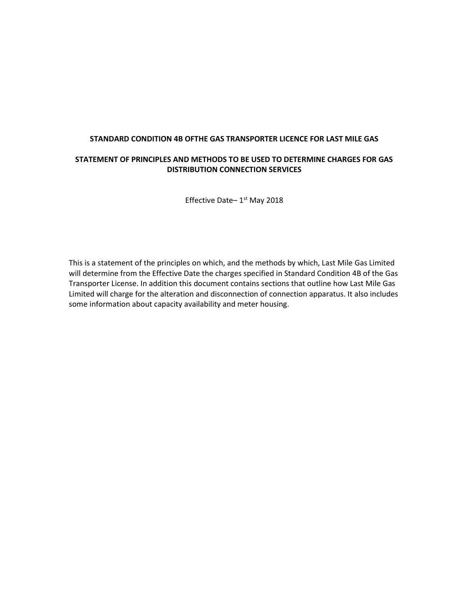## STANDARD CONDITION 4B OFTHE GAS TRANSPORTER LICENCE FOR LAST MILE GAS

## STATEMENT OF PRINCIPLES AND METHODS TO BE USED TO DETERMINE CHARGES FOR GAS DISTRIBUTION CONNECTION SERVICES

Effective Date-1<sup>st</sup> May 2018

This is a statement of the principles on which, and the methods by which, Last Mile Gas Limited will determine from the Effective Date the charges specified in Standard Condition 4B of the Gas Transporter License. In addition this document contains sections that outline how Last Mile Gas Limited will charge for the alteration and disconnection of connection apparatus. It also includes some information about capacity availability and meter housing.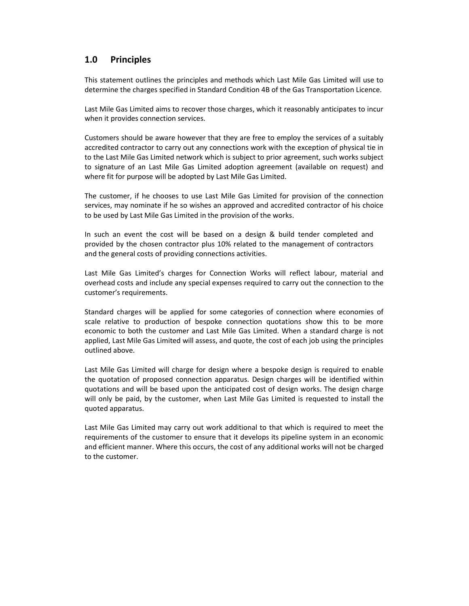# 1.0 Principles

This statement outlines the principles and methods which Last Mile Gas Limited will use to determine the charges specified in Standard Condition 4B of the Gas Transportation Licence.

Last Mile Gas Limited aims to recover those charges, which it reasonably anticipates to incur when it provides connection services.

Customers should be aware however that they are free to employ the services of a suitably accredited contractor to carry out any connections work with the exception of physical tie in to the Last Mile Gas Limited network which is subject to prior agreement, such works subject to signature of an Last Mile Gas Limited adoption agreement (available on request) and where fit for purpose will be adopted by Last Mile Gas Limited.

The customer, if he chooses to use Last Mile Gas Limited for provision of the connection services, may nominate if he so wishes an approved and accredited contractor of his choice to be used by Last Mile Gas Limited in the provision of the works.

In such an event the cost will be based on a design & build tender completed and provided by the chosen contractor plus 10% related to the management of contractors and the general costs of providing connections activities.

Last Mile Gas Limited's charges for Connection Works will reflect labour, material and overhead costs and include any special expenses required to carry out the connection to the customer's requirements.

Standard charges will be applied for some categories of connection where economies of scale relative to production of bespoke connection quotations show this to be more economic to both the customer and Last Mile Gas Limited. When a standard charge is not applied, Last Mile Gas Limited will assess, and quote, the cost of each job using the principles outlined above.

Last Mile Gas Limited will charge for design where a bespoke design is required to enable the quotation of proposed connection apparatus. Design charges will be identified within quotations and will be based upon the anticipated cost of design works. The design charge will only be paid, by the customer, when Last Mile Gas Limited is requested to install the quoted apparatus.

Last Mile Gas Limited may carry out work additional to that which is required to meet the requirements of the customer to ensure that it develops its pipeline system in an economic and efficient manner. Where this occurs, the cost of any additional works will not be charged to the customer.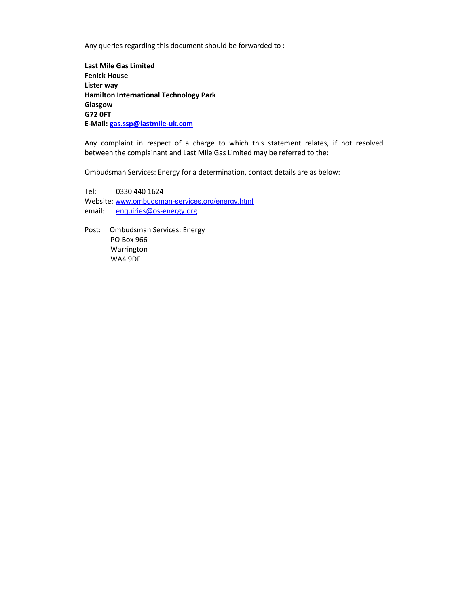Any queries regarding this document should be forwarded to :

Last Mile Gas Limited Fenick House Lister way Hamilton International Technology Park Glasgow G72 0FT E-Mail: gas.ssp@lastmile-uk.com

Any complaint in respect of a charge to which this statement relates, if not resolved between the complainant and Last Mile Gas Limited may be referred to the:

Ombudsman Services: Energy for a determination, contact details are as below:

Tel: 0330 440 1624 Website: www.ombudsman-services.org/energy.html email: enquiries@os-energy.org

Post: Ombudsman Services: Energy PO Box 966 Warrington WA4 9DF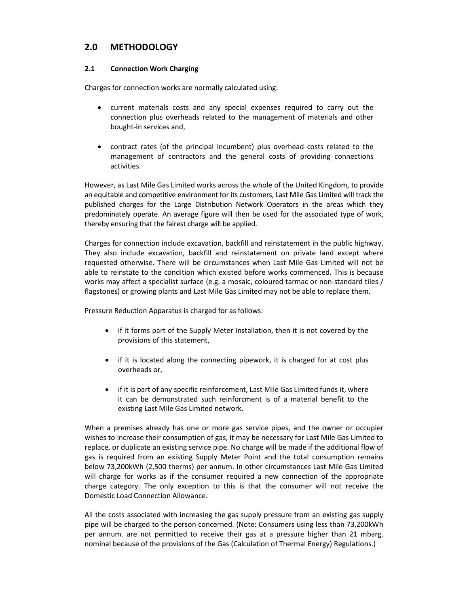# 2.0 METHODOLOGY

## 2.1 Connection Work Charging

Charges for connection works are normally calculated using:

- current materials costs and any special expenses required to carry out the connection plus overheads related to the management of materials and other bought-in services and,
- contract rates (of the principal incumbent) plus overhead costs related to the management of contractors and the general costs of providing connections activities.

However, as Last Mile Gas Limited works across the whole of the United Kingdom, to provide an equitable and competitive environment for its customers, Last Mile Gas Limited will track the published charges for the Large Distribution Network Operators in the areas which they predominately operate. An average figure will then be used for the associated type of work, thereby ensuring that the fairest charge will be applied.

Charges for connection include excavation, backfill and reinstatement in the public highway. They also include excavation, backfill and reinstatement on private land except where requested otherwise. There will be circumstances when Last Mile Gas Limited will not be able to reinstate to the condition which existed before works commenced. This is because works may affect a specialist surface (e.g. a mosaic, coloured tarmac or non-standard tiles / flagstones) or growing plants and Last Mile Gas Limited may not be able to replace them.

Pressure Reduction Apparatus is charged for as follows:

- if it forms part of the Supply Meter Installation, then it is not covered by the provisions of this statement,
- if it is located along the connecting pipework, it is charged for at cost plus overheads or,
- if it is part of any specific reinforcement, Last Mile Gas Limited funds it, where it can be demonstrated such reinforcment is of a material benefit to the existing Last Mile Gas Limited network.

When a premises already has one or more gas service pipes, and the owner or occupier wishes to increase their consumption of gas, it may be necessary for Last Mile Gas Limited to replace, or duplicate an existing service pipe. No charge will be made if the additional flow of gas is required from an existing Supply Meter Point and the total consumption remains below 73,200kWh (2,500 therms) per annum. In other circumstances Last Mile Gas Limited will charge for works as if the consumer required a new connection of the appropriate charge category. The only exception to this is that the consumer will not receive the Domestic Load Connection Allowance.

All the costs associated with increasing the gas supply pressure from an existing gas supply pipe will be charged to the person concerned. (Note: Consumers using less than 73,200kWh per annum. are not permitted to receive their gas at a pressure higher than 21 mbarg. nominal because of the provisions of the Gas (Calculation of Thermal Energy) Regulations.)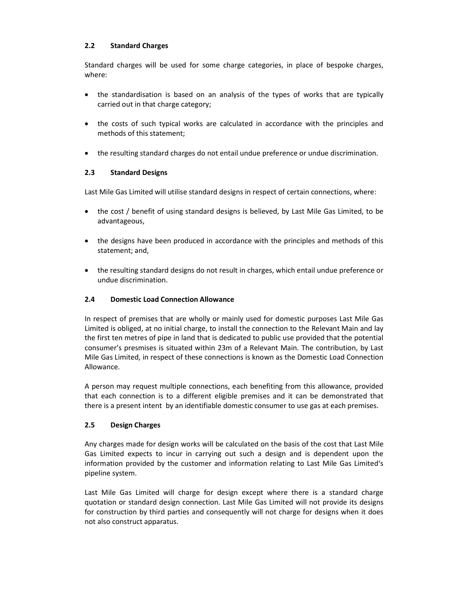## 2.2 Standard Charges

Standard charges will be used for some charge categories, in place of bespoke charges, where:

- the standardisation is based on an analysis of the types of works that are typically carried out in that charge category;
- the costs of such typical works are calculated in accordance with the principles and methods of this statement;
- the resulting standard charges do not entail undue preference or undue discrimination.

## 2.3 Standard Designs

Last Mile Gas Limited will utilise standard designs in respect of certain connections, where:

- the cost / benefit of using standard designs is believed, by Last Mile Gas Limited, to be advantageous,
- the designs have been produced in accordance with the principles and methods of this statement; and,
- the resulting standard designs do not result in charges, which entail undue preference or undue discrimination.

## 2.4 Domestic Load Connection Allowance

In respect of premises that are wholly or mainly used for domestic purposes Last Mile Gas Limited is obliged, at no initial charge, to install the connection to the Relevant Main and lay the first ten metres of pipe in land that is dedicated to public use provided that the potential consumer's presmises is situated within 23m of a Relevant Main. The contribution, by Last Mile Gas Limited, in respect of these connections is known as the Domestic Load Connection Allowance.

A person may request multiple connections, each benefiting from this allowance, provided that each connection is to a different eligible premises and it can be demonstrated that there is a present intent by an identifiable domestic consumer to use gas at each premises.

#### 2.5 Design Charges

Any charges made for design works will be calculated on the basis of the cost that Last Mile Gas Limited expects to incur in carrying out such a design and is dependent upon the information provided by the customer and information relating to Last Mile Gas Limited's pipeline system.

Last Mile Gas Limited will charge for design except where there is a standard charge quotation or standard design connection. Last Mile Gas Limited will not provide its designs for construction by third parties and consequently will not charge for designs when it does not also construct apparatus.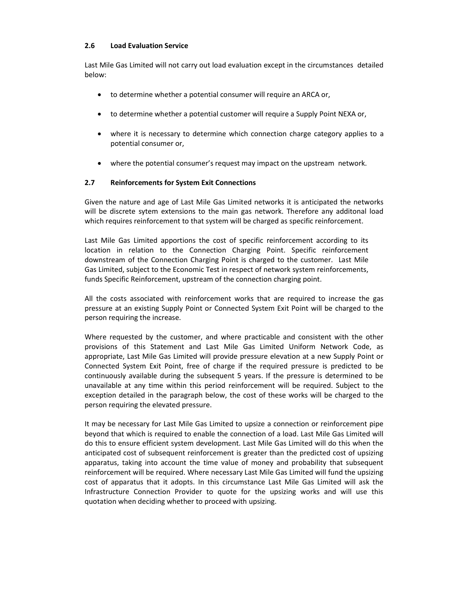#### 2.6 Load Evaluation Service

Last Mile Gas Limited will not carry out load evaluation except in the circumstances detailed below:

- to determine whether a potential consumer will require an ARCA or,
- to determine whether a potential customer will require a Supply Point NEXA or,
- where it is necessary to determine which connection charge category applies to a potential consumer or,
- where the potential consumer's request may impact on the upstream network.

#### 2.7 Reinforcements for System Exit Connections

Given the nature and age of Last Mile Gas Limited networks it is anticipated the networks will be discrete sytem extensions to the main gas network. Therefore any additonal load which requires reinforcement to that system will be charged as specific reinforcement.

Last Mile Gas Limited apportions the cost of specific reinforcement according to its location in relation to the Connection Charging Point. Specific reinforcement downstream of the Connection Charging Point is charged to the customer. Last Mile Gas Limited, subject to the Economic Test in respect of network system reinforcements, funds Specific Reinforcement, upstream of the connection charging point.

All the costs associated with reinforcement works that are required to increase the gas pressure at an existing Supply Point or Connected System Exit Point will be charged to the person requiring the increase.

Where requested by the customer, and where practicable and consistent with the other provisions of this Statement and Last Mile Gas Limited Uniform Network Code, as appropriate, Last Mile Gas Limited will provide pressure elevation at a new Supply Point or Connected System Exit Point, free of charge if the required pressure is predicted to be continuously available during the subsequent 5 years. If the pressure is determined to be unavailable at any time within this period reinforcement will be required. Subject to the exception detailed in the paragraph below, the cost of these works will be charged to the person requiring the elevated pressure.

It may be necessary for Last Mile Gas Limited to upsize a connection or reinforcement pipe beyond that which is required to enable the connection of a load. Last Mile Gas Limited will do this to ensure efficient system development. Last Mile Gas Limited will do this when the anticipated cost of subsequent reinforcement is greater than the predicted cost of upsizing apparatus, taking into account the time value of money and probability that subsequent reinforcement will be required. Where necessary Last Mile Gas Limited will fund the upsizing cost of apparatus that it adopts. In this circumstance Last Mile Gas Limited will ask the Infrastructure Connection Provider to quote for the upsizing works and will use this quotation when deciding whether to proceed with upsizing.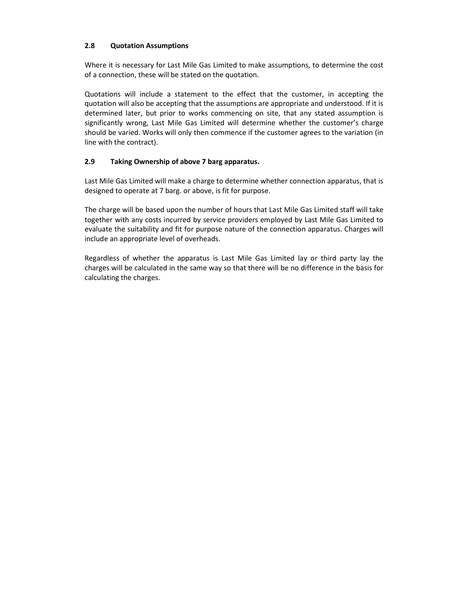## 2.8 Quotation Assumptions

Where it is necessary for Last Mile Gas Limited to make assumptions, to determine the cost of a connection, these will be stated on the quotation.

Quotations will include a statement to the effect that the customer, in accepting the quotation will also be accepting that the assumptions are appropriate and understood. If it is determined later, but prior to works commencing on site, that any stated assumption is significantly wrong, Last Mile Gas Limited will determine whether the customer's charge should be varied. Works will only then commence if the customer agrees to the variation (in line with the contract).

## 2.9 Taking Ownership of above 7 barg apparatus.

Last Mile Gas Limited will make a charge to determine whether connection apparatus, that is designed to operate at 7 barg. or above, is fit for purpose.

The charge will be based upon the number of hours that Last Mile Gas Limited staff will take together with any costs incurred by service providers employed by Last Mile Gas Limited to evaluate the suitability and fit for purpose nature of the connection apparatus. Charges will include an appropriate level of overheads.

Regardless of whether the apparatus is Last Mile Gas Limited lay or third party lay the charges will be calculated in the same way so that there will be no difference in the basis for calculating the charges.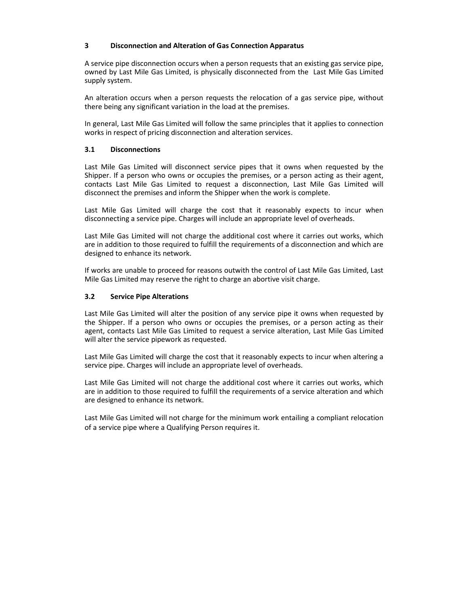#### 3 Disconnection and Alteration of Gas Connection Apparatus

A service pipe disconnection occurs when a person requests that an existing gas service pipe, owned by Last Mile Gas Limited, is physically disconnected from the Last Mile Gas Limited supply system.

An alteration occurs when a person requests the relocation of a gas service pipe, without there being any significant variation in the load at the premises.

In general, Last Mile Gas Limited will follow the same principles that it applies to connection works in respect of pricing disconnection and alteration services.

#### 3.1 Disconnections

Last Mile Gas Limited will disconnect service pipes that it owns when requested by the Shipper. If a person who owns or occupies the premises, or a person acting as their agent, contacts Last Mile Gas Limited to request a disconnection, Last Mile Gas Limited will disconnect the premises and inform the Shipper when the work is complete.

Last Mile Gas Limited will charge the cost that it reasonably expects to incur when disconnecting a service pipe. Charges will include an appropriate level of overheads.

Last Mile Gas Limited will not charge the additional cost where it carries out works, which are in addition to those required to fulfill the requirements of a disconnection and which are designed to enhance its network.

If works are unable to proceed for reasons outwith the control of Last Mile Gas Limited, Last Mile Gas Limited may reserve the right to charge an abortive visit charge.

#### 3.2 Service Pipe Alterations

Last Mile Gas Limited will alter the position of any service pipe it owns when requested by the Shipper. If a person who owns or occupies the premises, or a person acting as their agent, contacts Last Mile Gas Limited to request a service alteration, Last Mile Gas Limited will alter the service pipework as requested.

Last Mile Gas Limited will charge the cost that it reasonably expects to incur when altering a service pipe. Charges will include an appropriate level of overheads.

Last Mile Gas Limited will not charge the additional cost where it carries out works, which are in addition to those required to fulfill the requirements of a service alteration and which are designed to enhance its network.

Last Mile Gas Limited will not charge for the minimum work entailing a compliant relocation of a service pipe where a Qualifying Person requires it.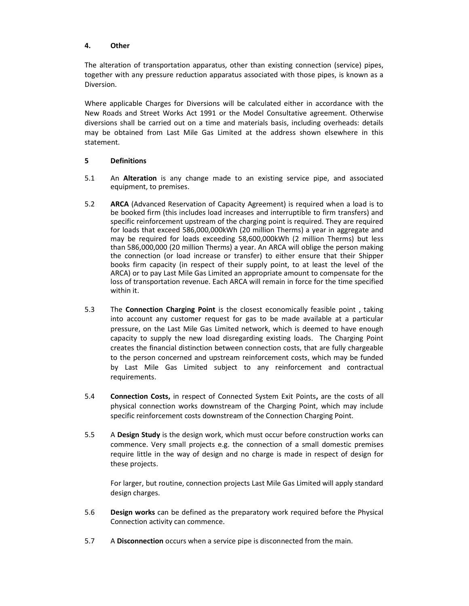#### 4. Other

The alteration of transportation apparatus, other than existing connection (service) pipes, together with any pressure reduction apparatus associated with those pipes, is known as a Diversion.

Where applicable Charges for Diversions will be calculated either in accordance with the New Roads and Street Works Act 1991 or the Model Consultative agreement. Otherwise diversions shall be carried out on a time and materials basis, including overheads: details may be obtained from Last Mile Gas Limited at the address shown elsewhere in this statement.

#### 5 Definitions

- 5.1 An Alteration is any change made to an existing service pipe, and associated equipment, to premises.
- 5.2 ARCA (Advanced Reservation of Capacity Agreement) is required when a load is to be booked firm (this includes load increases and interruptible to firm transfers) and specific reinforcement upstream of the charging point is required. They are required for loads that exceed 586,000,000kWh (20 million Therms) a year in aggregate and may be required for loads exceeding 58,600,000kWh (2 million Therms) but less than 586,000,000 (20 million Therms) a year. An ARCA will oblige the person making the connection (or load increase or transfer) to either ensure that their Shipper books firm capacity (in respect of their supply point, to at least the level of the ARCA) or to pay Last Mile Gas Limited an appropriate amount to compensate for the loss of transportation revenue. Each ARCA will remain in force for the time specified within it.
- 5.3 The **Connection Charging Point** is the closest economically feasible point, taking into account any customer request for gas to be made available at a particular pressure, on the Last Mile Gas Limited network, which is deemed to have enough capacity to supply the new load disregarding existing loads. The Charging Point creates the financial distinction between connection costs, that are fully chargeable to the person concerned and upstream reinforcement costs, which may be funded by Last Mile Gas Limited subject to any reinforcement and contractual requirements.
- 5.4 Connection Costs, in respect of Connected System Exit Points, are the costs of all physical connection works downstream of the Charging Point, which may include specific reinforcement costs downstream of the Connection Charging Point.
- 5.5 A Design Study is the design work, which must occur before construction works can commence. Very small projects e.g. the connection of a small domestic premises require little in the way of design and no charge is made in respect of design for these projects.

For larger, but routine, connection projects Last Mile Gas Limited will apply standard design charges.

- 5.6 Design works can be defined as the preparatory work required before the Physical Connection activity can commence.
- 5.7 A Disconnection occurs when a service pipe is disconnected from the main.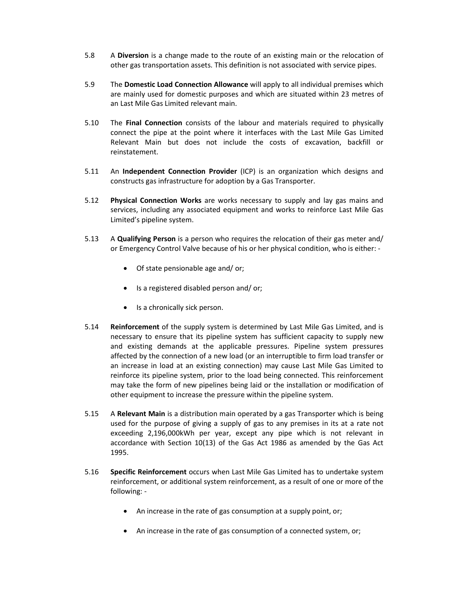- 5.8 A Diversion is a change made to the route of an existing main or the relocation of other gas transportation assets. This definition is not associated with service pipes.
- 5.9 The Domestic Load Connection Allowance will apply to all individual premises which are mainly used for domestic purposes and which are situated within 23 metres of an Last Mile Gas Limited relevant main.
- 5.10 The Final Connection consists of the labour and materials required to physically connect the pipe at the point where it interfaces with the Last Mile Gas Limited Relevant Main but does not include the costs of excavation, backfill or reinstatement.
- 5.11 An Independent Connection Provider (ICP) is an organization which designs and constructs gas infrastructure for adoption by a Gas Transporter.
- 5.12 Physical Connection Works are works necessary to supply and lay gas mains and services, including any associated equipment and works to reinforce Last Mile Gas Limited's pipeline system.
- 5.13 A Qualifying Person is a person who requires the relocation of their gas meter and/ or Emergency Control Valve because of his or her physical condition, who is either: -
	- Of state pensionable age and/ or;
	- Is a registered disabled person and/ or;
	- Is a chronically sick person.
- 5.14 Reinforcement of the supply system is determined by Last Mile Gas Limited, and is necessary to ensure that its pipeline system has sufficient capacity to supply new and existing demands at the applicable pressures. Pipeline system pressures affected by the connection of a new load (or an interruptible to firm load transfer or an increase in load at an existing connection) may cause Last Mile Gas Limited to reinforce its pipeline system, prior to the load being connected. This reinforcement may take the form of new pipelines being laid or the installation or modification of other equipment to increase the pressure within the pipeline system.
- 5.15 A Relevant Main is a distribution main operated by a gas Transporter which is being used for the purpose of giving a supply of gas to any premises in its at a rate not exceeding 2,196,000kWh per year, except any pipe which is not relevant in accordance with Section 10(13) of the Gas Act 1986 as amended by the Gas Act 1995.
- 5.16 Specific Reinforcement occurs when Last Mile Gas Limited has to undertake system reinforcement, or additional system reinforcement, as a result of one or more of the following: -
	- An increase in the rate of gas consumption at a supply point, or;
	- An increase in the rate of gas consumption of a connected system, or;